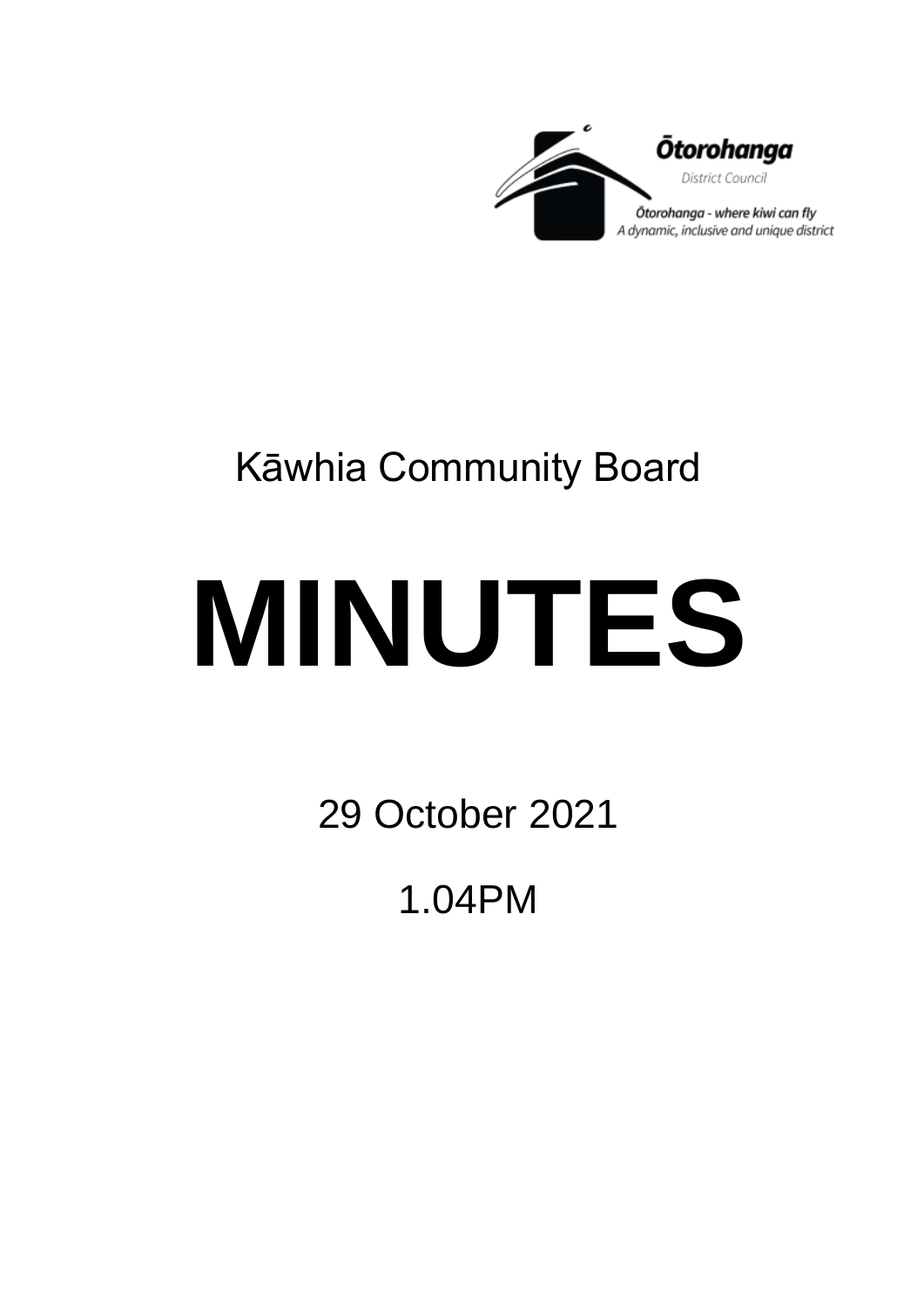

## Kāwhia Community Board

# **MINUTES**

29 October 2021

1.04PM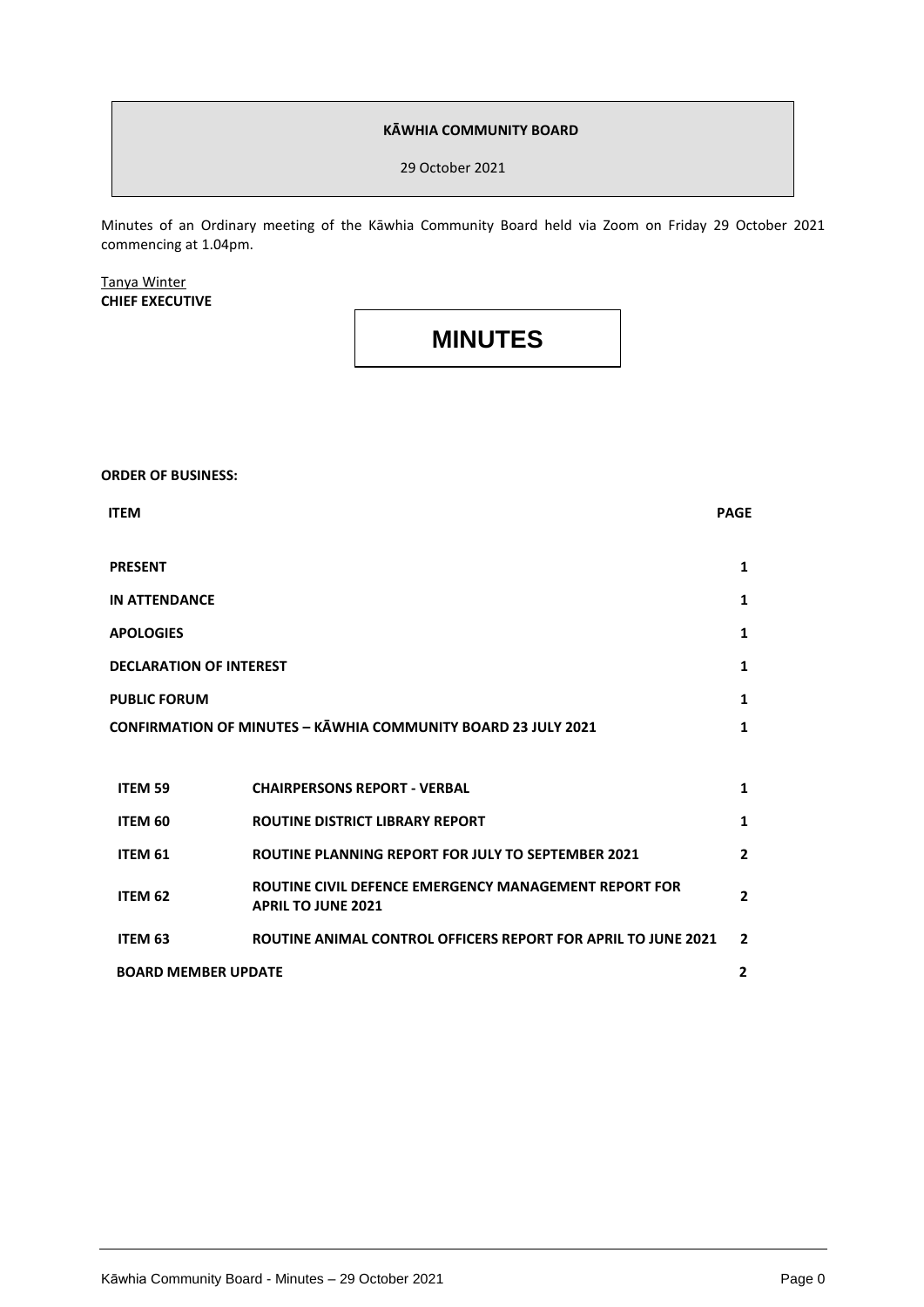#### **KĀWHIA COMMUNITY BOARD**

29 October 2021

Minutes of an Ordinary meeting of the Kāwhia Community Board held via Zoom on Friday 29 October 2021 commencing at 1.04pm.

#### Tanya Winter **CHIEF EXECUTIVE**

### **MINUTES**

#### **ORDER OF BUSINESS:**

| <b>ITEM</b>                                                          |                                                                                    | <b>PAGE</b>    |
|----------------------------------------------------------------------|------------------------------------------------------------------------------------|----------------|
| <b>PRESENT</b>                                                       |                                                                                    | $\mathbf{1}$   |
| <b>IN ATTENDANCE</b>                                                 |                                                                                    | 1              |
| <b>APOLOGIES</b>                                                     |                                                                                    | $\mathbf{1}$   |
| <b>DECLARATION OF INTEREST</b>                                       |                                                                                    | 1              |
| <b>PUBLIC FORUM</b>                                                  |                                                                                    | $\mathbf{1}$   |
| <b>CONFIRMATION OF MINUTES - KAWHIA COMMUNITY BOARD 23 JULY 2021</b> |                                                                                    | 1              |
|                                                                      |                                                                                    |                |
| ITEM 59                                                              | <b>CHAIRPERSONS REPORT - VERBAL</b>                                                | 1              |
| ITEM 60                                                              | <b>ROUTINE DISTRICT LIBRARY REPORT</b>                                             | $\mathbf{1}$   |
| ITEM 61                                                              | <b>ROUTINE PLANNING REPORT FOR JULY TO SEPTEMBER 2021</b>                          | $\overline{2}$ |
| ITEM 62                                                              | ROUTINE CIVIL DEFENCE EMERGENCY MANAGEMENT REPORT FOR<br><b>APRIL TO JUNE 2021</b> | $\overline{2}$ |
| ITEM 63                                                              | ROUTINE ANIMAL CONTROL OFFICERS REPORT FOR APRIL TO JUNE 2021                      | $\overline{2}$ |
| <b>BOARD MEMBER UPDATE</b>                                           |                                                                                    | $\overline{2}$ |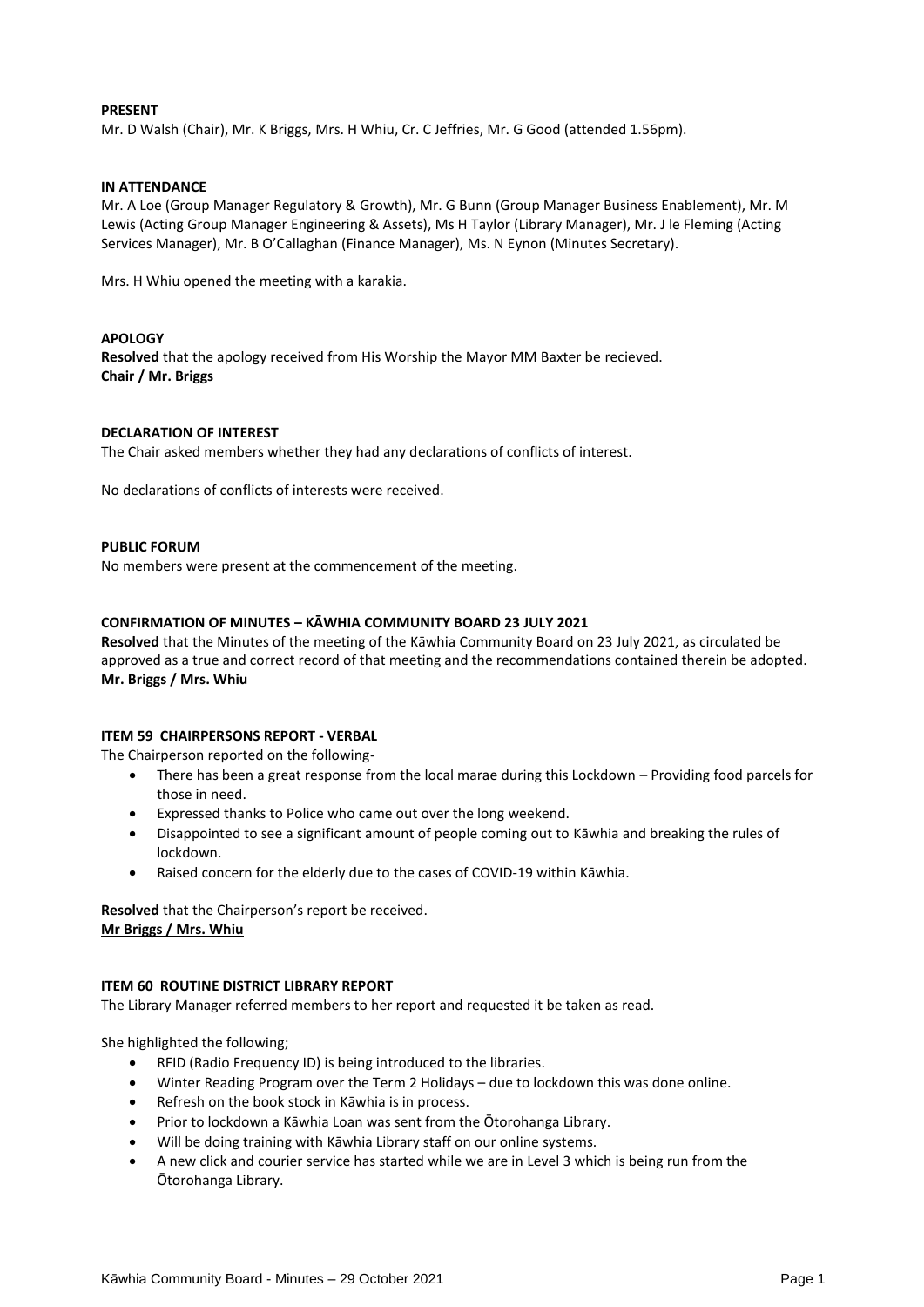#### **PRESENT**

Mr. D Walsh (Chair), Mr. K Briggs, Mrs. H Whiu, Cr. C Jeffries, Mr. G Good (attended 1.56pm).

#### **IN ATTENDANCE**

Mr. A Loe (Group Manager Regulatory & Growth), Mr. G Bunn (Group Manager Business Enablement), Mr. M Lewis (Acting Group Manager Engineering & Assets), Ms H Taylor (Library Manager), Mr. J le Fleming (Acting Services Manager), Mr. B O'Callaghan (Finance Manager), Ms. N Eynon (Minutes Secretary).

Mrs. H Whiu opened the meeting with a karakia.

#### **APOLOGY**

**Resolved** that the apology received from His Worship the Mayor MM Baxter be recieved. **Chair / Mr. Briggs** 

#### **DECLARATION OF INTEREST**

The Chair asked members whether they had any declarations of conflicts of interest.

No declarations of conflicts of interests were received.

#### **PUBLIC FORUM**

No members were present at the commencement of the meeting.

#### **CONFIRMATION OF MINUTES – KĀWHIA COMMUNITY BOARD 23 JULY 2021**

**Resolved** that the Minutes of the meeting of the Kāwhia Community Board on 23 July 2021, as circulated be approved as a true and correct record of that meeting and the recommendations contained therein be adopted. **Mr. Briggs / Mrs. Whiu**

#### **ITEM 59 CHAIRPERSONS REPORT - VERBAL**

The Chairperson reported on the following-

- There has been a great response from the local marae during this Lockdown Providing food parcels for those in need.
- Expressed thanks to Police who came out over the long weekend.
- Disappointed to see a significant amount of people coming out to Kāwhia and breaking the rules of lockdown.
- Raised concern for the elderly due to the cases of COVID-19 within Kāwhia.

**Resolved** that the Chairperson's report be received. **Mr Briggs / Mrs. Whiu**

#### **ITEM 60 ROUTINE DISTRICT LIBRARY REPORT**

The Library Manager referred members to her report and requested it be taken as read.

She highlighted the following;

- RFID (Radio Frequency ID) is being introduced to the libraries.
- Winter Reading Program over the Term 2 Holidays due to lockdown this was done online.
- Refresh on the book stock in Kāwhia is in process.
- Prior to lockdown a Kāwhia Loan was sent from the Ōtorohanga Library.
- Will be doing training with Kāwhia Library staff on our online systems.
- A new click and courier service has started while we are in Level 3 which is being run from the Ōtorohanga Library.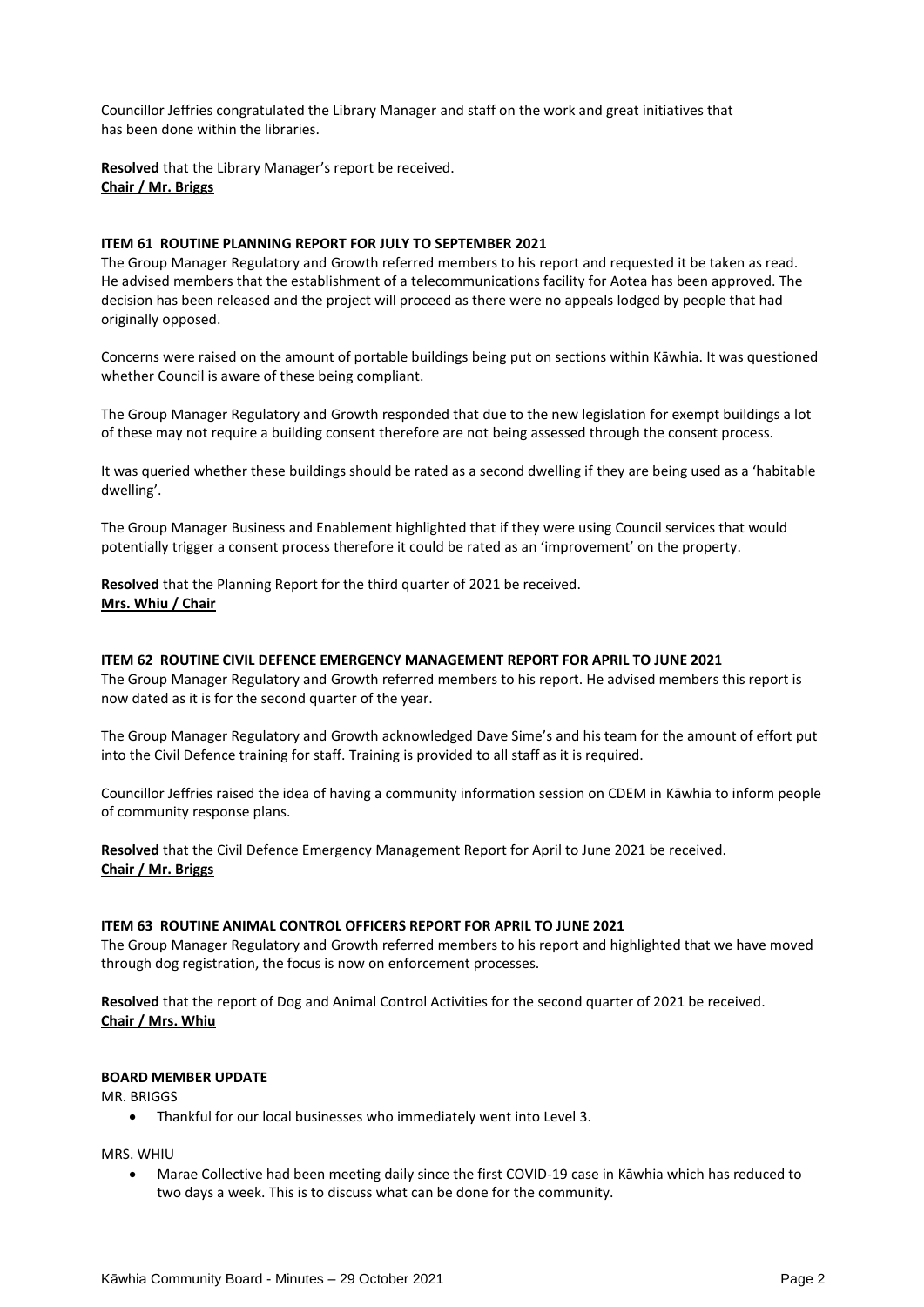Councillor Jeffries congratulated the Library Manager and staff on the work and great initiatives that has been done within the libraries.

**Resolved** that the Library Manager's report be received. **Chair / Mr. Briggs**

#### **ITEM 61 ROUTINE PLANNING REPORT FOR JULY TO SEPTEMBER 2021**

The Group Manager Regulatory and Growth referred members to his report and requested it be taken as read. He advised members that the establishment of a telecommunications facility for Aotea has been approved. The decision has been released and the project will proceed as there were no appeals lodged by people that had originally opposed.

Concerns were raised on the amount of portable buildings being put on sections within Kāwhia. It was questioned whether Council is aware of these being compliant.

The Group Manager Regulatory and Growth responded that due to the new legislation for exempt buildings a lot of these may not require a building consent therefore are not being assessed through the consent process.

It was queried whether these buildings should be rated as a second dwelling if they are being used as a 'habitable dwelling'.

The Group Manager Business and Enablement highlighted that if they were using Council services that would potentially trigger a consent process therefore it could be rated as an 'improvement' on the property.

**Resolved** that the Planning Report for the third quarter of 2021 be received. **Mrs. Whiu / Chair**

#### **ITEM 62 ROUTINE CIVIL DEFENCE EMERGENCY MANAGEMENT REPORT FOR APRIL TO JUNE 2021**

The Group Manager Regulatory and Growth referred members to his report. He advised members this report is now dated as it is for the second quarter of the year.

The Group Manager Regulatory and Growth acknowledged Dave Sime's and his team for the amount of effort put into the Civil Defence training for staff. Training is provided to all staff as it is required.

Councillor Jeffries raised the idea of having a community information session on CDEM in Kāwhia to inform people of community response plans.

**Resolved** that the Civil Defence Emergency Management Report for April to June 2021 be received. **Chair / Mr. Briggs**

#### **ITEM 63 ROUTINE ANIMAL CONTROL OFFICERS REPORT FOR APRIL TO JUNE 2021**

The Group Manager Regulatory and Growth referred members to his report and highlighted that we have moved through dog registration, the focus is now on enforcement processes.

**Resolved** that the report of Dog and Animal Control Activities for the second quarter of 2021 be received. **Chair / Mrs. Whiu**

#### **BOARD MEMBER UPDATE**

MR. BRIGGS

Thankful for our local businesses who immediately went into Level 3.

MRS. WHIU

 Marae Collective had been meeting daily since the first COVID-19 case in Kāwhia which has reduced to two days a week. This is to discuss what can be done for the community.